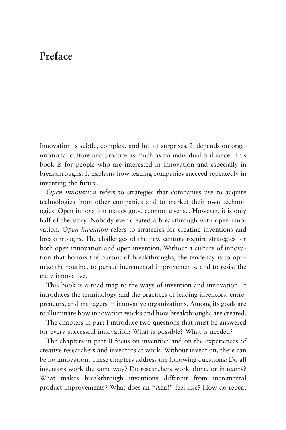## **Preface**

Innovation is subtle, complex, and full of surprises. It depends on organizational culture and practice as much as on individual brilliance. This book is for people who are interested in innovation and especially in breakthroughs. It explains how leading companies succeed repeatedly in inventing the future.

*Open innovation* refers to strategies that companies use to acquire technologies from other companies and to market their own technologies. Open innovation makes good economic sense. However, it is only half of the story. Nobody ever created a breakthrough with open innovation. *Open invention* refers to strategies for creating inventions and breakthroughs. The challenges of the new century require strategies for both open innovation and open invention. Without a culture of innovation that honors the pursuit of breakthroughs, the tendency is to optimize the routine, to pursue incremental improvements, and to resist the truly innovative.

This book is a road map to the ways of invention and innovation. It introduces the terminology and the practices of leading inventors, entrepreneurs, and managers in innovative organizations. Among its goals are to illuminate how innovation works and how breakthroughs are created.

The chapters in part I introduce two questions that must be answered for every successful innovation: What is possible? What is needed?

The chapters in part II focus on invention and on the experiences of creative researchers and inventors at work. Without invention, there can be no innovation. These chapters address the following questions: Do all inventors work the same way? Do researchers work alone, or in teams? [What makes breakthrough inventions different from incremental](#page--1-0)  product improvements? What does an "Aha!" feel like? How do repeat